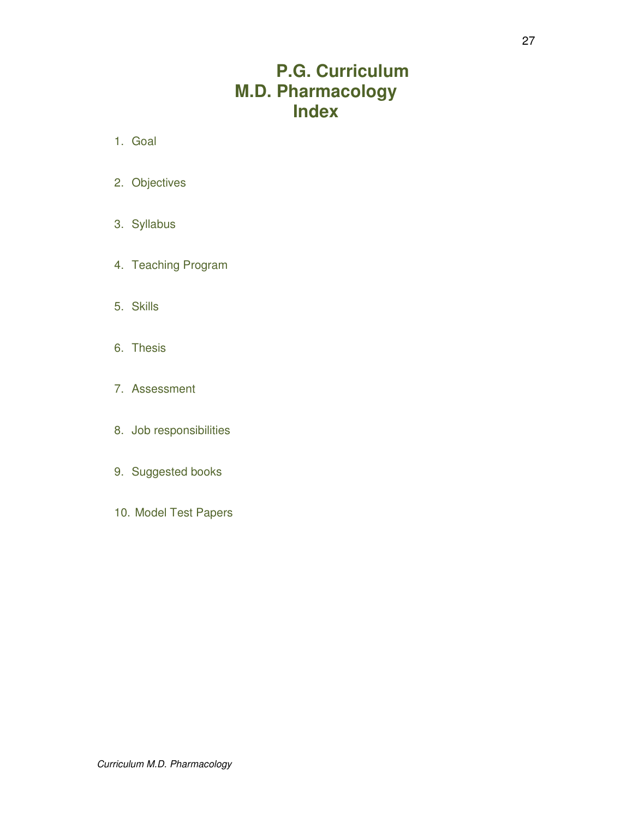# **P.G. Curriculum M.D. Pharmacology Index**

- 1. Goal
- 2. Objectives
- 3. Syllabus
- 4. Teaching Program
- 5. Skills
- 6. Thesis
- 7. Assessment
- 8. Job responsibilities
- 9. Suggested books
- 10. Model Test Papers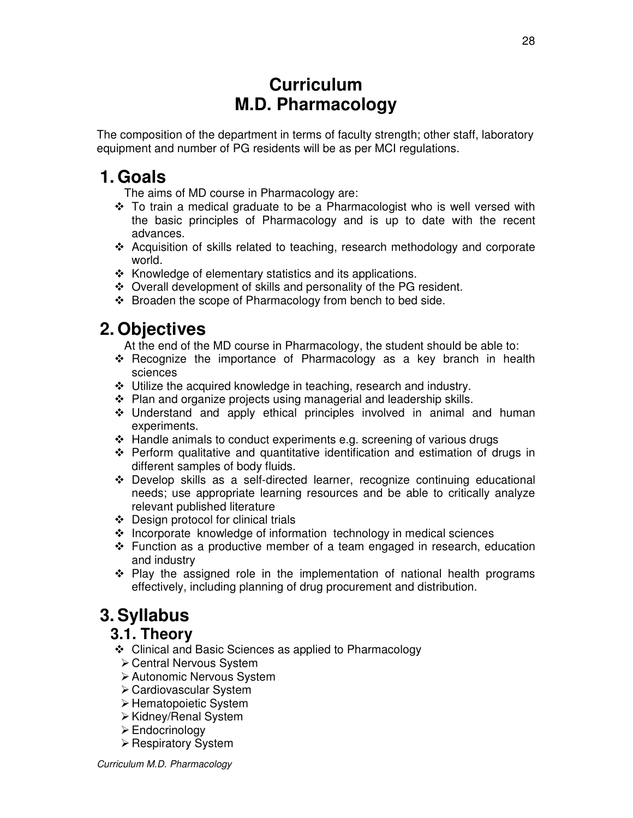# **Curriculum M.D. Pharmacology**

The composition of the department in terms of faculty strength; other staff, laboratory equipment and number of PG residents will be as per MCI regulations.

# **1. Goals**

The aims of MD course in Pharmacology are:

- \* To train a medical graduate to be a Pharmacologist who is well versed with the basic principles of Pharmacology and is up to date with the recent advances.
- Acquisition of skills related to teaching, research methodology and corporate world.
- $\div$  Knowledge of elementary statistics and its applications.
- Overall development of skills and personality of the PG resident.
- ❖ Broaden the scope of Pharmacology from bench to bed side.

# **2. Objectives**

At the end of the MD course in Pharmacology, the student should be able to:

- $\div$  Recognize the importance of Pharmacology as a key branch in health sciences
- Utilize the acquired knowledge in teaching, research and industry.
- $\cdot$  Plan and organize projects using managerial and leadership skills.
- $\div$  Understand and apply ethical principles involved in animal and human experiments.
- $\cdot$  Handle animals to conduct experiments e.g. screening of various drugs
- $\div$  Perform qualitative and quantitative identification and estimation of drugs in different samples of body fluids.
- Develop skills as a self-directed learner, recognize continuing educational needs; use appropriate learning resources and be able to critically analyze relevant published literature
- Design protocol for clinical trials
- $\cdot$  Incorporate knowledge of information technology in medical sciences
- $\div$  Function as a productive member of a team engaged in research, education and industry
- Play the assigned role in the implementation of national health programs effectively, including planning of drug procurement and distribution.

# **3. Syllabus**

## **3.1. Theory**

- Clinical and Basic Sciences as applied to Pharmacology
	- Central Nervous System
	- Autonomic Nervous System
	- Cardiovascular System
	- > Hematopoietic System
	- Kidney/Renal System
	- **Endocrinology**
- Respiratory System

Curriculum M.D. Pharmacology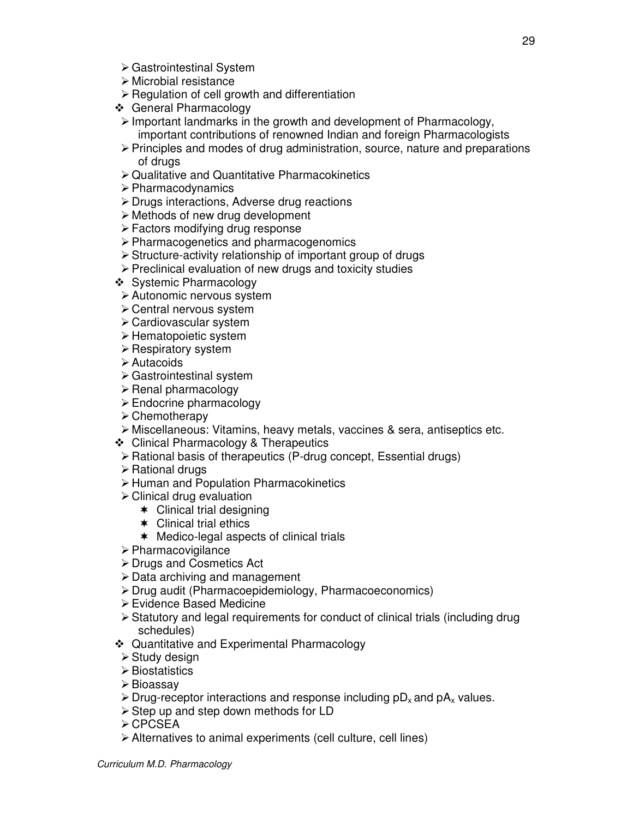- Gastrointestinal System
- Microbial resistance
- > Regulation of cell growth and differentiation
- General Pharmacology
- > Important landmarks in the growth and development of Pharmacology, important contributions of renowned Indian and foreign Pharmacologists
- > Principles and modes of drug administration, source, nature and preparations of drugs
- Qualitative and Quantitative Pharmacokinetics
- > Pharmacodynamics
- Drugs interactions, Adverse drug reactions
- > Methods of new drug development
- Factors modifying drug response
- Pharmacogenetics and pharmacogenomics
- > Structure-activity relationship of important group of drugs
- Preclinical evaluation of new drugs and toxicity studies
- ❖ Systemic Pharmacology
- Autonomic nervous system
- Central nervous system
- Cardiovascular system
- > Hematopoietic system
- Respiratory system
- Autacoids
- Gastrointestinal system
- > Renal pharmacology
- > Endocrine pharmacology
- Chemotherapy
- Miscellaneous: Vitamins, heavy metals, vaccines & sera, antiseptics etc.
- Clinical Pharmacology & Therapeutics
- > Rational basis of therapeutics (P-drug concept, Essential drugs)
- > Rational drugs
- Human and Population Pharmacokinetics
- Clinical drug evaluation
	- $\ast$  Clinical trial designing
	- Clinical trial ethics
	- Medico-legal aspects of clinical trials
- Pharmacovigilance
- Drugs and Cosmetics Act
- > Data archiving and management
- Drug audit (Pharmacoepidemiology, Pharmacoeconomics)
- Evidence Based Medicine
- > Statutory and legal requirements for conduct of clinical trials (including drug schedules)
- Quantitative and Experimental Pharmacology
- > Study design
- Biostatistics
- > Bioassay
- $\triangleright$  Drug-receptor interactions and response including pD<sub>x</sub> and pA<sub>x</sub> values.
- > Step up and step down methods for LD
- CPCSEA
- Alternatives to animal experiments (cell culture, cell lines)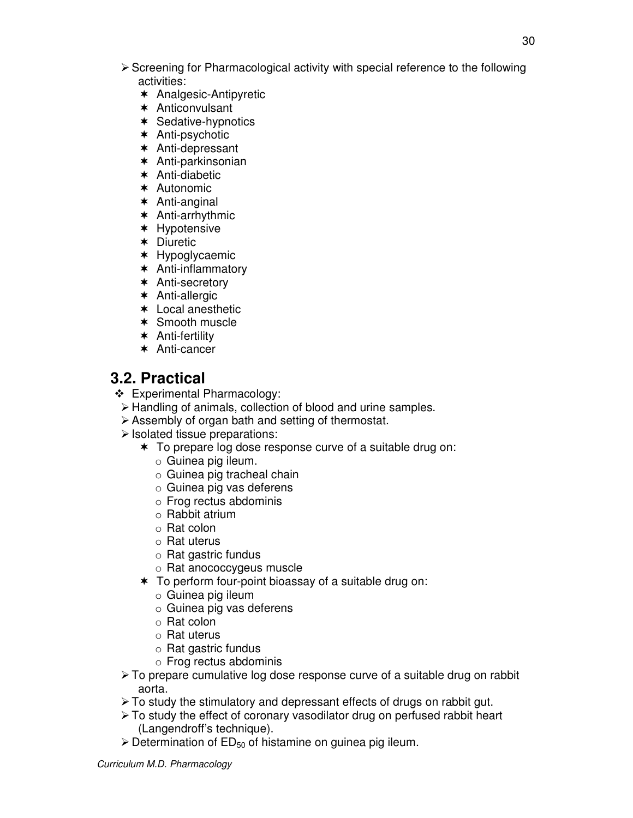- > Screening for Pharmacological activity with special reference to the following activities:
	- \* Analgesic-Antipyretic
	- Anticonvulsant
	- $\ast$  Sedative-hypnotics
	- Anti-psychotic
	- Anti-depressant
	- Anti-parkinsonian
	- Anti-diabetic
	- \* Autonomic
	- Anti-anginal
	- Anti-arrhythmic
	- \* Hypotensive
	- Diuretic
	- \* Hypoglycaemic
	- Anti-inflammatory
	- \* Anti-secretory
	- Anti-allergic
	- Local anesthetic
	- \* Smooth muscle
	- Anti-fertility
	- \* Anti-cancer

## **3.2. Practical**

- Experimental Pharmacology:
	- > Handling of animals, collection of blood and urine samples.
	- > Assembly of organ bath and setting of thermostat.
- Isolated tissue preparations:
	- To prepare log dose response curve of a suitable drug on:
		- o Guinea pig ileum.
		- o Guinea pig tracheal chain
		- o Guinea pig vas deferens
		- o Frog rectus abdominis
		- o Rabbit atrium
		- o Rat colon
		- o Rat uterus
		- o Rat gastric fundus
		- o Rat anococcygeus muscle
	- \* To perform four-point bioassay of a suitable drug on:
		- o Guinea pig ileum
		- o Guinea pig vas deferens
		- o Rat colon
		- o Rat uterus
		- o Rat gastric fundus
		- o Frog rectus abdominis
- > To prepare cumulative log dose response curve of a suitable drug on rabbit aorta.
- > To study the stimulatory and depressant effects of drugs on rabbit gut.
- > To study the effect of coronary vasodilator drug on perfused rabbit heart (Langendroff's technique).
- $\triangleright$  Determination of ED<sub>50</sub> of histamine on guinea pig ileum.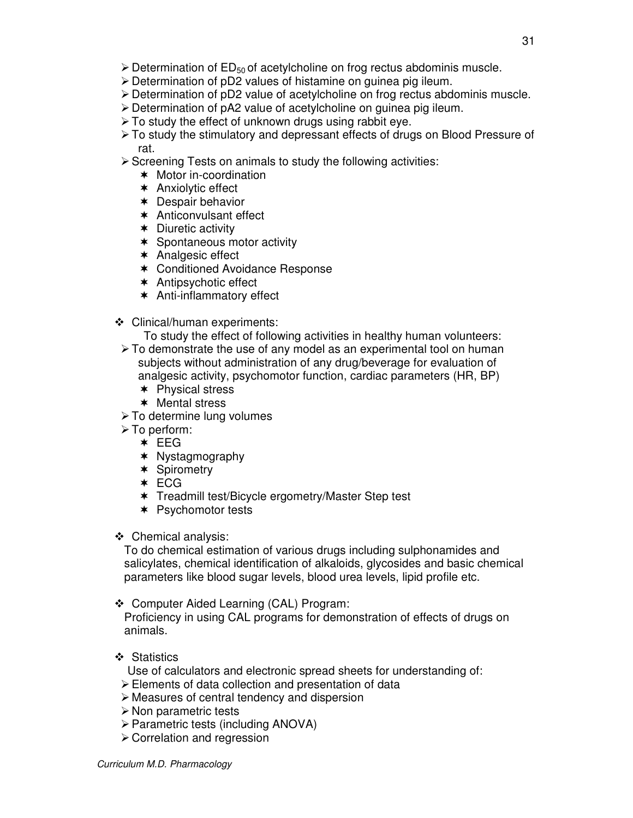- > Determination of ED<sub>50</sub> of acetylcholine on frog rectus abdominis muscle.
- > Determination of pD2 values of histamine on guinea pig ileum.
- > Determination of pD2 value of acetylcholine on frog rectus abdominis muscle.
- > Determination of pA2 value of acetylcholine on guinea pig ileum.
- > To study the effect of unknown drugs using rabbit eye.
- > To study the stimulatory and depressant effects of drugs on Blood Pressure of rat.

- Screening Tests on animals to study the following activities:

- Motor in-coordination
- \* Anxiolytic effect
- \* Despair behavior
- \* Anticonvulsant effect
- \* Diuretic activity
- \* Spontaneous motor activity
- Analgesic effect
- Conditioned Avoidance Response
- Antipsychotic effect
- Anti-inflammatory effect
- Clinical/human experiments:

To study the effect of following activities in healthy human volunteers:

- > To demonstrate the use of any model as an experimental tool on human subjects without administration of any drug/beverage for evaluation of analgesic activity, psychomotor function, cardiac parameters (HR, BP)
	- \* Physical stress
	- Mental stress
- > To determine lung volumes
- > To perform:
	- $\star$  EEG
	- \* Nystagmography
	- \* Spirometry
	- \* ECG
	- Treadmill test/Bicycle ergometry/Master Step test
	- \* Psychomotor tests

Chemical analysis:

To do chemical estimation of various drugs including sulphonamides and salicylates, chemical identification of alkaloids, glycosides and basic chemical parameters like blood sugar levels, blood urea levels, lipid profile etc.

Computer Aided Learning (CAL) Program:

Proficiency in using CAL programs for demonstration of effects of drugs on animals.

❖ Statistics

Use of calculators and electronic spread sheets for understanding of:

- > Elements of data collection and presentation of data
- Measures of central tendency and dispersion
- > Non parametric tests
- > Parametric tests (including ANOVA)
- Correlation and regression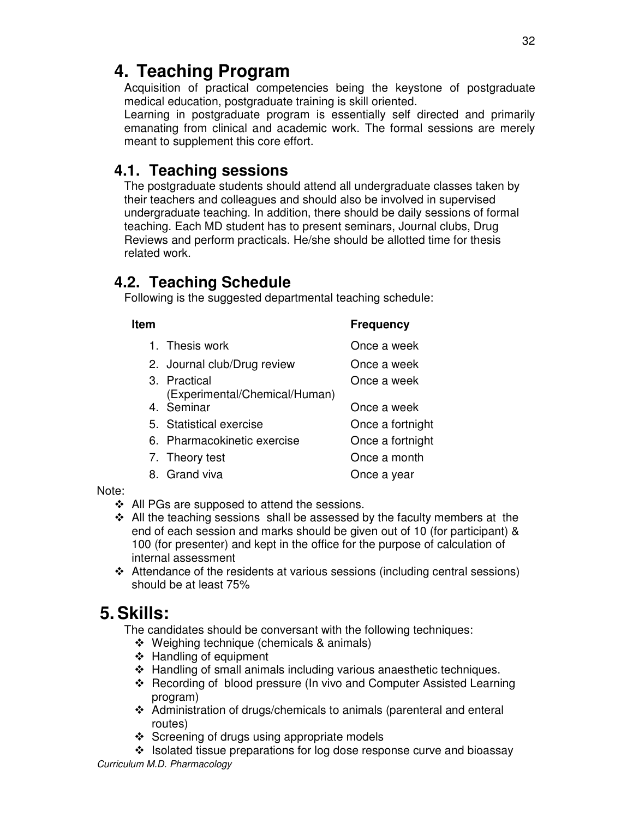# **4. Teaching Program**

Acquisition of practical competencies being the keystone of postgraduate medical education, postgraduate training is skill oriented.

Learning in postgraduate program is essentially self directed and primarily emanating from clinical and academic work. The formal sessions are merely meant to supplement this core effort.

## **4.1. Teaching sessions**

The postgraduate students should attend all undergraduate classes taken by their teachers and colleagues and should also be involved in supervised undergraduate teaching. In addition, there should be daily sessions of formal teaching. Each MD student has to present seminars, Journal clubs, Drug Reviews and perform practicals. He/she should be allotted time for thesis related work.

## **4.2. Teaching Schedule**

Following is the suggested departmental teaching schedule:

| ltem |                                               | <b>Frequency</b> |  |
|------|-----------------------------------------------|------------------|--|
|      | 1. Thesis work                                | Once a week      |  |
|      | 2. Journal club/Drug review                   | Once a week      |  |
|      | 3. Practical<br>(Experimental/Chemical/Human) | Once a week      |  |
|      | 4. Seminar                                    | Once a week      |  |
|      | 5. Statistical exercise                       | Once a fortnight |  |
|      | 6. Pharmacokinetic exercise                   | Once a fortnight |  |
|      | 7. Theory test                                | Once a month     |  |
|      | 8. Grand viva                                 | Once a year      |  |

Note:

- ❖ All PGs are supposed to attend the sessions.
- $\div$  All the teaching sessions shall be assessed by the faculty members at the end of each session and marks should be given out of 10 (for participant) & 100 (for presenter) and kept in the office for the purpose of calculation of internal assessment
- Attendance of the residents at various sessions (including central sessions) should be at least 75%

# **5. Skills:**

The candidates should be conversant with the following techniques:

- ❖ Weighing technique (chemicals & animals)
- ❖ Handling of equipment
- Handling of small animals including various anaesthetic techniques.
- Recording of blood pressure (In vivo and Computer Assisted Learning program)
- Administration of drugs/chemicals to animals (parenteral and enteral routes)
- $\div$  Screening of drugs using appropriate models
- $\cdot$  Isolated tissue preparations for log dose response curve and bioassay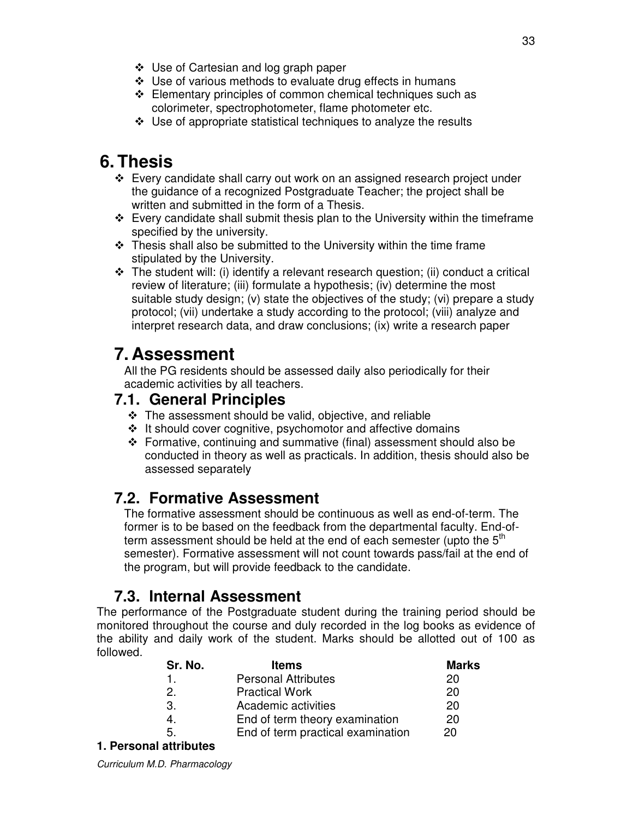- Use of Cartesian and log graph paper
- Use of various methods to evaluate drug effects in humans
- $\div$  Elementary principles of common chemical techniques such as colorimeter, spectrophotometer, flame photometer etc.
- $\div$  Use of appropriate statistical techniques to analyze the results

# **6. Thesis**

- $\div$  Every candidate shall carry out work on an assigned research project under the guidance of a recognized Postgraduate Teacher; the project shall be written and submitted in the form of a Thesis.
- Every candidate shall submit thesis plan to the University within the timeframe specified by the university.
- $\cdot$  Thesis shall also be submitted to the University within the time frame stipulated by the University.
- $\div$  The student will: (i) identify a relevant research question; (ii) conduct a critical review of literature; (iii) formulate a hypothesis; (iv) determine the most suitable study design; (v) state the objectives of the study; (vi) prepare a study protocol; (vii) undertake a study according to the protocol; (viii) analyze and interpret research data, and draw conclusions; (ix) write a research paper

# **7. Assessment**

All the PG residents should be assessed daily also periodically for their academic activities by all teachers.

## **7.1. General Principles**

- The assessment should be valid, objective, and reliable
- $\cdot$  It should cover cognitive, psychomotor and affective domains
- Formative, continuing and summative (final) assessment should also be conducted in theory as well as practicals. In addition, thesis should also be assessed separately

## **7.2. Formative Assessment**

The formative assessment should be continuous as well as end-of-term. The former is to be based on the feedback from the departmental faculty. End-ofterm assessment should be held at the end of each semester (upto the  $5<sup>th</sup>$ semester). Formative assessment will not count towards pass/fail at the end of the program, but will provide feedback to the candidate.

## **7.3. Internal Assessment**

The performance of the Postgraduate student during the training period should be monitored throughout the course and duly recorded in the log books as evidence of the ability and daily work of the student. Marks should be allotted out of 100 as followed.

| Sr. No. | <b>Items</b>                      | <b>Marks</b> |
|---------|-----------------------------------|--------------|
|         | <b>Personal Attributes</b>        | 20           |
| 2.      | <b>Practical Work</b>             | 20           |
| З.      | Academic activities               | 20           |
| 4.      | End of term theory examination    | 20           |
| 5.      | End of term practical examination | 20           |
|         |                                   |              |

#### **1. Personal attributes**

Curriculum M.D. Pharmacology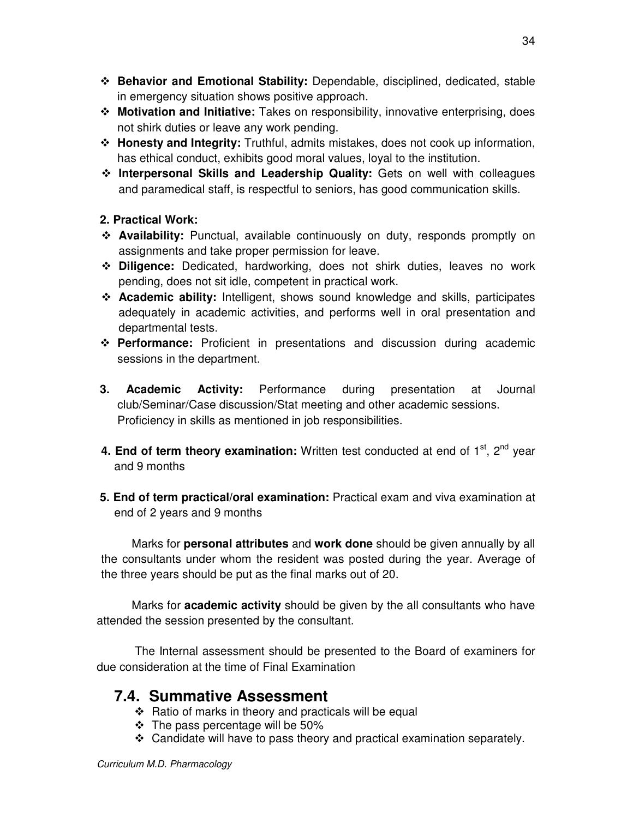- **Behavior and Emotional Stability:** Dependable, disciplined, dedicated, stable in emergency situation shows positive approach.
- **Motivation and Initiative:** Takes on responsibility, innovative enterprising, does not shirk duties or leave any work pending.
- **Honesty and Integrity:** Truthful, admits mistakes, does not cook up information, has ethical conduct, exhibits good moral values, loyal to the institution.
- **Interpersonal Skills and Leadership Quality:** Gets on well with colleagues and paramedical staff, is respectful to seniors, has good communication skills.

#### **2. Practical Work:**

- **Availability:** Punctual, available continuously on duty, responds promptly on assignments and take proper permission for leave.
- **Diligence:** Dedicated, hardworking, does not shirk duties, leaves no work pending, does not sit idle, competent in practical work.
- **Academic ability:** Intelligent, shows sound knowledge and skills, participates adequately in academic activities, and performs well in oral presentation and departmental tests.
- **Performance:** Proficient in presentations and discussion during academic sessions in the department.
- **3. Academic Activity:** Performance during presentation at Journal club/Seminar/Case discussion/Stat meeting and other academic sessions. Proficiency in skills as mentioned in job responsibilities.
- **4. End of term theory examination:** Written test conducted at end of 1<sup>st</sup>, 2<sup>nd</sup> year and 9 months
- **5. End of term practical/oral examination:** Practical exam and viva examination at end of 2 years and 9 months

 Marks for **personal attributes** and **work done** should be given annually by all the consultants under whom the resident was posted during the year. Average of the three years should be put as the final marks out of 20.

Marks for **academic activity** should be given by the all consultants who have attended the session presented by the consultant.

 The Internal assessment should be presented to the Board of examiners for due consideration at the time of Final Examination

## **7.4. Summative Assessment**

- $\div$  Ratio of marks in theory and practicals will be equal
- $\div$  The pass percentage will be 50%
- $\div$  Candidate will have to pass theory and practical examination separately.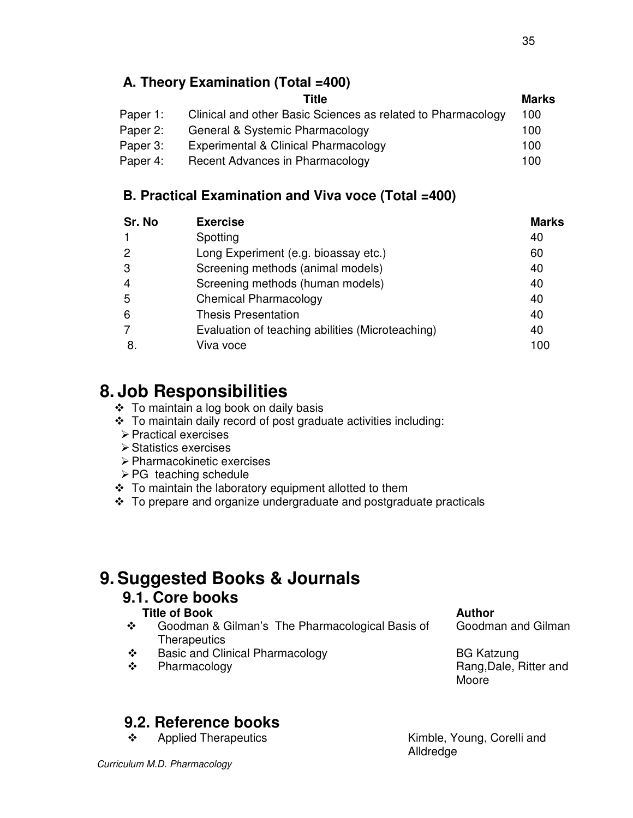## **A. Theory Examination (Total =400)**

|                                                              | <b>Marks</b> |
|--------------------------------------------------------------|--------------|
| Clinical and other Basic Sciences as related to Pharmacology | 100          |
| General & Systemic Pharmacology                              | 100          |
| Experimental & Clinical Pharmacology                         | 100          |
| Recent Advances in Pharmacology                              | 100          |
|                                                              | <b>Title</b> |

## **B. Practical Examination and Viva voce (Total =400)**

| Sr. No | <b>Exercise</b>                                  | <b>Marks</b> |
|--------|--------------------------------------------------|--------------|
|        | Spotting                                         | 40           |
| 2      | Long Experiment (e.g. bioassay etc.)             | 60           |
| 3      | Screening methods (animal models)                | 40           |
| 4      | Screening methods (human models)                 | 40           |
| 5      | <b>Chemical Pharmacology</b>                     | 40           |
| 6      | <b>Thesis Presentation</b>                       | 40           |
|        | Evaluation of teaching abilities (Microteaching) | 40           |
|        | Viva voce                                        | 100          |

# **8. Job Responsibilities**

- $\div$  To maintain a log book on daily basis
- \* To maintain daily record of post graduate activities including:
- Practical exercises
- Statistics exercises
- Pharmacokinetic exercises
- > PG teaching schedule
- To maintain the laboratory equipment allotted to them
- $\cdot$  To prepare and organize undergraduate and postgraduate practicals

# **9. Suggested Books & Journals**

## **9.1. Core books**

## **Title of Book** Author **Author Author Author**

- Goodman & Gilman's The Pharmacological Basis of **Therapeutics**
- ◆ Basic and Clinical Pharmacology better and BG Katzung
- 

Goodman and Gilman

◆ Pharmacology Rang,Dale, Ritter and Moore

# **9.2. Reference books**

\* Applied Therapeutics Kimble, Young, Corelli and

Alldredge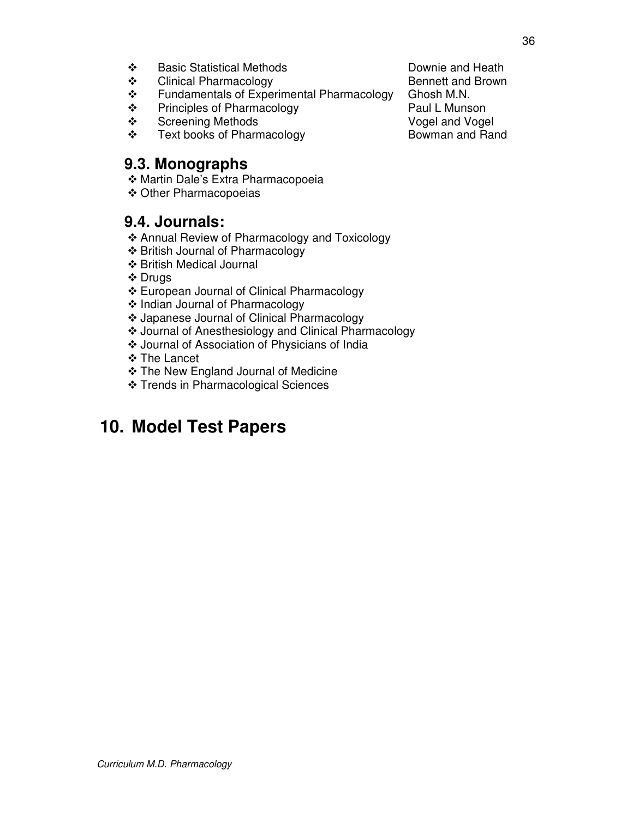- 
- Clinical Pharmacology
- \* Fundamentals of Experimental Pharmacology Ghosh M.N.
- ◆ Principles of Pharmacology <br>◆ Paul L Munson → Paul L Munson → Paul L Munson → Paul L Munson
- Screening Methods **Vogel and Vogel**
- ❖ Text books of Pharmacology Bowman and Rand

## **9.3. Monographs**

- Martin Dale's Extra Pharmacopoeia
- Other Pharmacopoeias

## **9.4. Journals:**

- Annual Review of Pharmacology and Toxicology
- British Journal of Pharmacology
- British Medical Journal
- ❖ Drugs
- European Journal of Clinical Pharmacology
- ❖ Indian Journal of Pharmacology
- Japanese Journal of Clinical Pharmacology
- Journal of Anesthesiology and Clinical Pharmacology
- Journal of Association of Physicians of India
- The Lancet
- **❖ The New England Journal of Medicine**
- ❖ Trends in Pharmacological Sciences

# **10. Model Test Papers**

- ◆ Basic Statistical Methods Downie and Heath<br>◆ Clinical Pharmacology Dennett and Brown
	-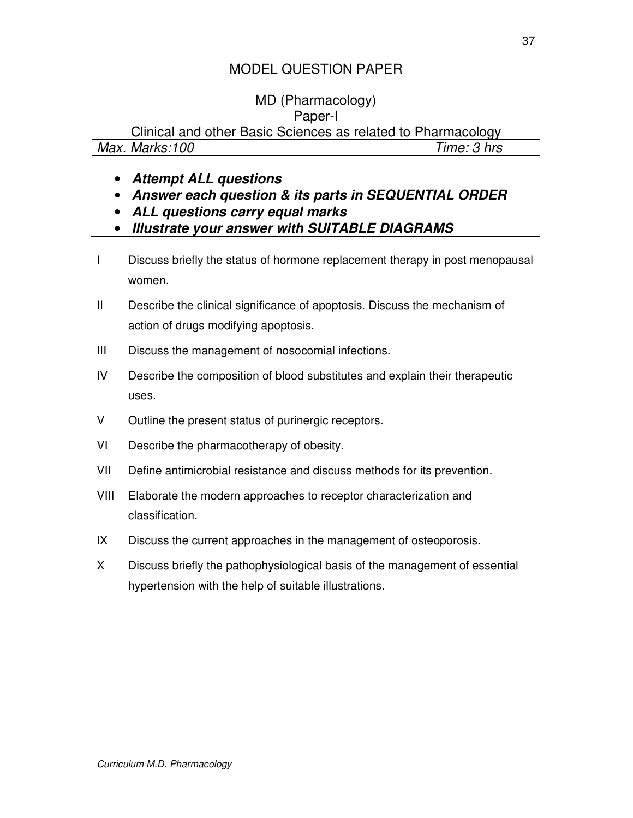# MD (Pharmacology)

## Paper-I

Clinical and other Basic Sciences as related to Pharmacology

| Max. Marks:100 | Time: 3 hrs |
|----------------|-------------|
|                |             |

- **Attempt ALL questions**
- **Answer each question & its parts in SEQUENTIAL ORDER**
- **ALL questions carry equal marks**
- **Illustrate your answer with SUITABLE DIAGRAMS**
- I Discuss briefly the status of hormone replacement therapy in post menopausal women.
- II Describe the clinical significance of apoptosis. Discuss the mechanism of action of drugs modifying apoptosis.
- III Discuss the management of nosocomial infections.
- IV Describe the composition of blood substitutes and explain their therapeutic uses.
- V Outline the present status of purinergic receptors.
- VI Describe the pharmacotherapy of obesity.
- VII Define antimicrobial resistance and discuss methods for its prevention.
- VIII Elaborate the modern approaches to receptor characterization and classification.
- IX Discuss the current approaches in the management of osteoporosis.
- X Discuss briefly the pathophysiological basis of the management of essential hypertension with the help of suitable illustrations.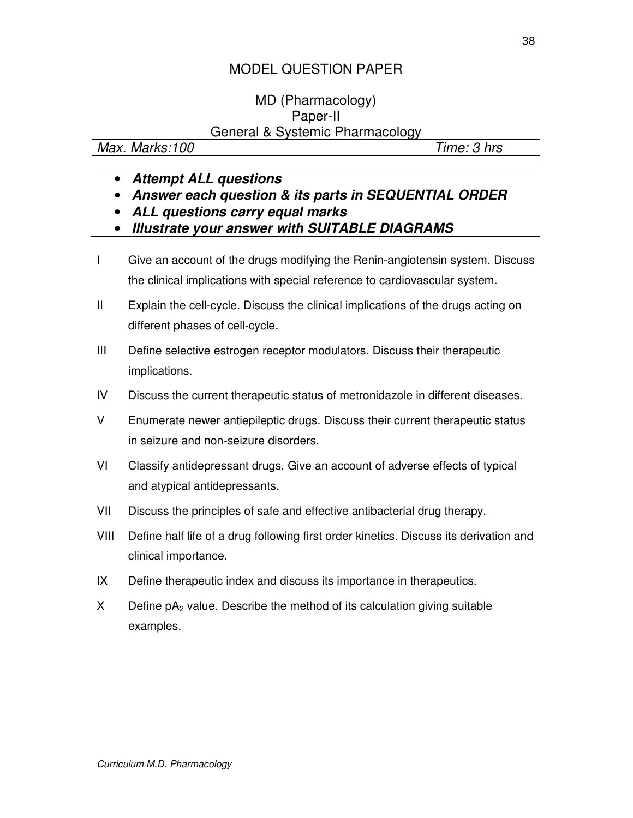### MD (Pharmacology) Paper-II General & Systemic Pharmacology

Max. Marks:100 Time: 3 hrs

- **Attempt ALL questions**
- **Answer each question & its parts in SEQUENTIAL ORDER**
- **ALL questions carry equal marks**
- **Illustrate your answer with SUITABLE DIAGRAMS**
- I Give an account of the drugs modifying the Renin-angiotensin system. Discuss the clinical implications with special reference to cardiovascular system.
- II Explain the cell-cycle. Discuss the clinical implications of the drugs acting on different phases of cell-cycle.
- III Define selective estrogen receptor modulators. Discuss their therapeutic implications.
- IV Discuss the current therapeutic status of metronidazole in different diseases.
- V Enumerate newer antiepileptic drugs. Discuss their current therapeutic status in seizure and non-seizure disorders.
- VI Classify antidepressant drugs. Give an account of adverse effects of typical and atypical antidepressants.
- VII Discuss the principles of safe and effective antibacterial drug therapy.
- VIII Define half life of a drug following first order kinetics. Discuss its derivation and clinical importance.
- IX Define therapeutic index and discuss its importance in therapeutics.
- $X$  Define  $pA_2$  value. Describe the method of its calculation giving suitable examples.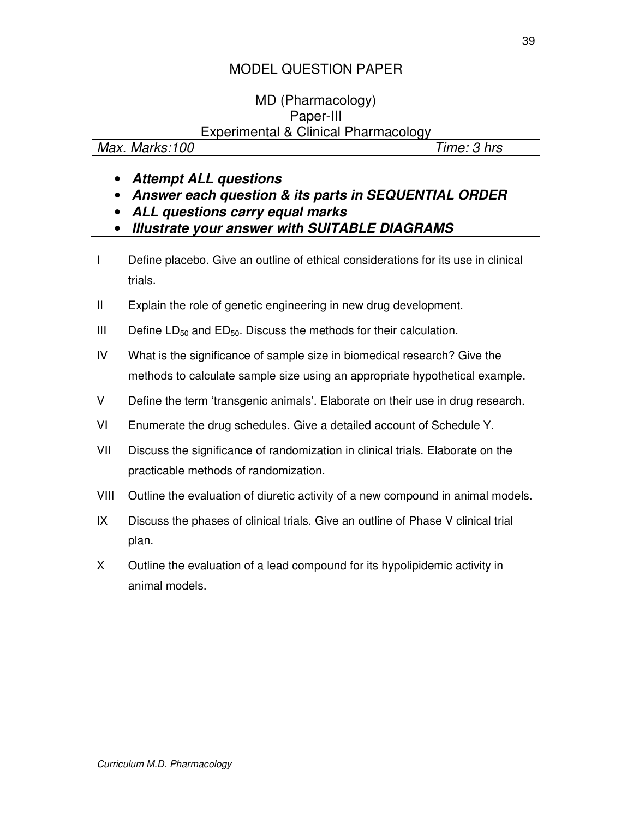### MD (Pharmacology) Paper-III Experimental & Clinical Pharmacology

Max. Marks:100 Time: 3 hrs

- **Attempt ALL questions**
- **Answer each question & its parts in SEQUENTIAL ORDER**
- **ALL questions carry equal marks**
- **Illustrate your answer with SUITABLE DIAGRAMS**
- I Define placebo. Give an outline of ethical considerations for its use in clinical trials.
- II Explain the role of genetic engineering in new drug development.
- III Define  $LD_{50}$  and  $ED_{50}$ . Discuss the methods for their calculation.
- IV What is the significance of sample size in biomedical research? Give the methods to calculate sample size using an appropriate hypothetical example.
- V Define the term 'transgenic animals'. Elaborate on their use in drug research.
- VI Enumerate the drug schedules. Give a detailed account of Schedule Y.
- VII Discuss the significance of randomization in clinical trials. Elaborate on the practicable methods of randomization.
- VIII Outline the evaluation of diuretic activity of a new compound in animal models.
- IX Discuss the phases of clinical trials. Give an outline of Phase V clinical trial plan.
- X Outline the evaluation of a lead compound for its hypolipidemic activity in animal models.